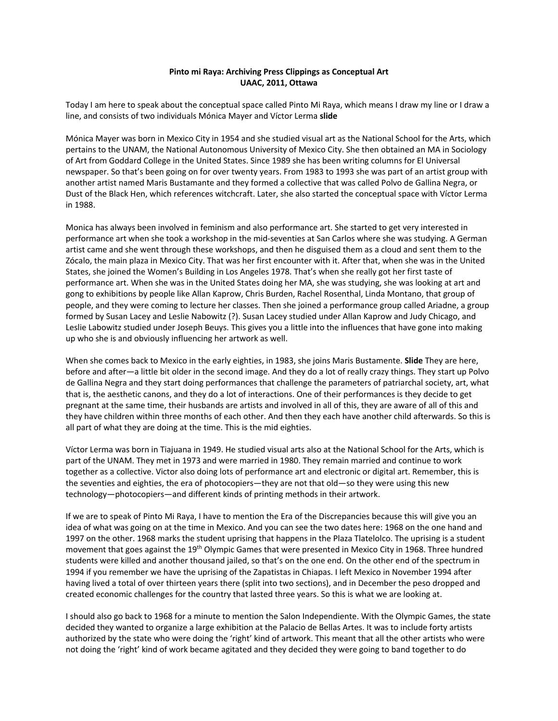## **Pinto mi Raya: Archiving Press Clippings as Conceptual Art UAAC, 2011, Ottawa**

Today I am here to speak about the conceptual space called Pinto Mi Raya, which means I draw my line or I draw a line, and consists of two individuals Mónica Mayer and Víctor Lerma **slide**

Mónica Mayer was born in Mexico City in 1954 and she studied visual art as the National School for the Arts, which pertains to the UNAM, the National Autonomous University of Mexico City. She then obtained an MA in Sociology of Art from Goddard College in the United States. Since 1989 she has been writing columns for El Universal newspaper. So that's been going on for over twenty years. From 1983 to 1993 she was part of an artist group with another artist named Maris Bustamante and they formed a collective that was called Polvo de Gallina Negra, or Dust of the Black Hen, which references witchcraft. Later, she also started the conceptual space with Víctor Lerma in 1988.

Monica has always been involved in feminism and also performance art. She started to get very interested in performance art when she took a workshop in the mid-seventies at San Carlos where she was studying. A German artist came and she went through these workshops, and then he disguised them as a cloud and sent them to the Zócalo, the main plaza in Mexico City. That was her first encounter with it. After that, when she was in the United States, she joined the Women's Building in Los Angeles 1978. That's when she really got her first taste of performance art. When she was in the United States doing her MA, she was studying, she was looking at art and gong to exhibitions by people like Allan Kaprow, Chris Burden, Rachel Rosenthal, Linda Montano, that group of people, and they were coming to lecture her classes. Then she joined a performance group called Ariadne, a group formed by Susan Lacey and Leslie Nabowitz (?). Susan Lacey studied under Allan Kaprow and Judy Chicago, and Leslie Labowitz studied under Joseph Beuys. This gives you a little into the influences that have gone into making up who she is and obviously influencing her artwork as well.

When she comes back to Mexico in the early eighties, in 1983, she joins Maris Bustamente. **Slide** They are here, before and after—a little bit older in the second image. And they do a lot of really crazy things. They start up Polvo de Gallina Negra and they start doing performances that challenge the parameters of patriarchal society, art, what that is, the aesthetic canons, and they do a lot of interactions. One of their performances is they decide to get pregnant at the same time, their husbands are artists and involved in all of this, they are aware of all of this and they have children within three months of each other. And then they each have another child afterwards. So this is all part of what they are doing at the time. This is the mid eighties.

Víctor Lerma was born in Tiajuana in 1949. He studied visual arts also at the National School for the Arts, which is part of the UNAM. They met in 1973 and were married in 1980. They remain married and continue to work together as a collective. Victor also doing lots of performance art and electronic or digital art. Remember, this is the seventies and eighties, the era of photocopiers—they are not that old—so they were using this new technology—photocopiers—and different kinds of printing methods in their artwork.

If we are to speak of Pinto Mi Raya, I have to mention the Era of the Discrepancies because this will give you an idea of what was going on at the time in Mexico. And you can see the two dates here: 1968 on the one hand and 1997 on the other. 1968 marks the student uprising that happens in the Plaza Tlatelolco. The uprising is a student movement that goes against the 19<sup>th</sup> Olympic Games that were presented in Mexico City in 1968. Three hundred students were killed and another thousand jailed, so that's on the one end. On the other end of the spectrum in 1994 if you remember we have the uprising of the Zapatistas in Chiapas. I left Mexico in November 1994 after having lived a total of over thirteen years there (split into two sections), and in December the peso dropped and created economic challenges for the country that lasted three years. So this is what we are looking at.

I should also go back to 1968 for a minute to mention the Salon Independiente. With the Olympic Games, the state decided they wanted to organize a large exhibition at the Palacio de Bellas Artes. It was to include forty artists authorized by the state who were doing the 'right' kind of artwork. This meant that all the other artists who were not doing the 'right' kind of work became agitated and they decided they were going to band together to do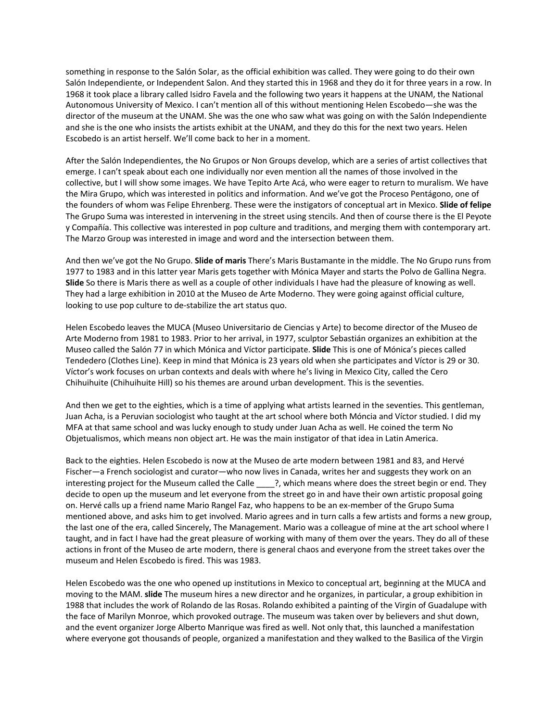something in response to the Salón Solar, as the official exhibition was called. They were going to do their own Salón Independiente, or Independent Salon. And they started this in 1968 and they do it for three years in a row. In 1968 it took place a library called Isidro Favela and the following two years it happens at the UNAM, the National Autonomous University of Mexico. I can't mention all of this without mentioning Helen Escobedo—she was the director of the museum at the UNAM. She was the one who saw what was going on with the Salón Independiente and she is the one who insists the artists exhibit at the UNAM, and they do this for the next two years. Helen Escobedo is an artist herself. We'll come back to her in a moment.

After the Salón Independientes, the No Grupos or Non Groups develop, which are a series of artist collectives that emerge. I can't speak about each one individually nor even mention all the names of those involved in the collective, but I will show some images. We have Tepito Arte Acá, who were eager to return to muralism. We have the Mira Grupo, which was interested in politics and information. And we've got the Proceso Pentágono, one of the founders of whom was Felipe Ehrenberg. These were the instigators of conceptual art in Mexico. **Slide of felipe** The Grupo Suma was interested in intervening in the street using stencils. And then of course there is the El Peyote y Compañía. This collective was interested in pop culture and traditions, and merging them with contemporary art. The Marzo Group was interested in image and word and the intersection between them.

And then we've got the No Grupo. **Slide of maris** There's Maris Bustamante in the middle. The No Grupo runs from 1977 to 1983 and in this latter year Maris gets together with Mónica Mayer and starts the Polvo de Gallina Negra. **Slide** So there is Maris there as well as a couple of other individuals I have had the pleasure of knowing as well. They had a large exhibition in 2010 at the Museo de Arte Moderno. They were going against official culture, looking to use pop culture to de-stabilize the art status quo.

Helen Escobedo leaves the MUCA (Museo Universitario de Ciencias y Arte) to become director of the Museo de Arte Moderno from 1981 to 1983. Prior to her arrival, in 1977, sculptor Sebastián organizes an exhibition at the Museo called the Salón 77 in which Mónica and Víctor participate. **Slide** This is one of Mónica's pieces called Tendedero (Clothes Line). Keep in mind that Mónica is 23 years old when she participates and Víctor is 29 or 30. Víctor's work focuses on urban contexts and deals with where he's living in Mexico City, called the Cero Chihuihuite (Chihuihuite Hill) so his themes are around urban development. This is the seventies.

And then we get to the eighties, which is a time of applying what artists learned in the seventies. This gentleman, Juan Acha, is a Peruvian sociologist who taught at the art school where both Móncia and Víctor studied. I did my MFA at that same school and was lucky enough to study under Juan Acha as well. He coined the term No Objetualismos, which means non object art. He was the main instigator of that idea in Latin America.

Back to the eighties. Helen Escobedo is now at the Museo de arte modern between 1981 and 83, and Hervé Fischer—a French sociologist and curator—who now lives in Canada, writes her and suggests they work on an interesting project for the Museum called the Calle  $\cdots$ ?, which means where does the street begin or end. They decide to open up the museum and let everyone from the street go in and have their own artistic proposal going on. Hervé calls up a friend name Mario Rangel Faz, who happens to be an ex-member of the Grupo Suma mentioned above, and asks him to get involved. Mario agrees and in turn calls a few artists and forms a new group, the last one of the era, called Sincerely, The Management. Mario was a colleague of mine at the art school where I taught, and in fact I have had the great pleasure of working with many of them over the years. They do all of these actions in front of the Museo de arte modern, there is general chaos and everyone from the street takes over the museum and Helen Escobedo is fired. This was 1983.

Helen Escobedo was the one who opened up institutions in Mexico to conceptual art, beginning at the MUCA and moving to the MAM. **slide** The museum hires a new director and he organizes, in particular, a group exhibition in 1988 that includes the work of Rolando de las Rosas. Rolando exhibited a painting of the Virgin of Guadalupe with the face of Marilyn Monroe, which provoked outrage. The museum was taken over by believers and shut down, and the event organizer Jorge Alberto Manrique was fired as well. Not only that, this launched a manifestation where everyone got thousands of people, organized a manifestation and they walked to the Basilica of the Virgin